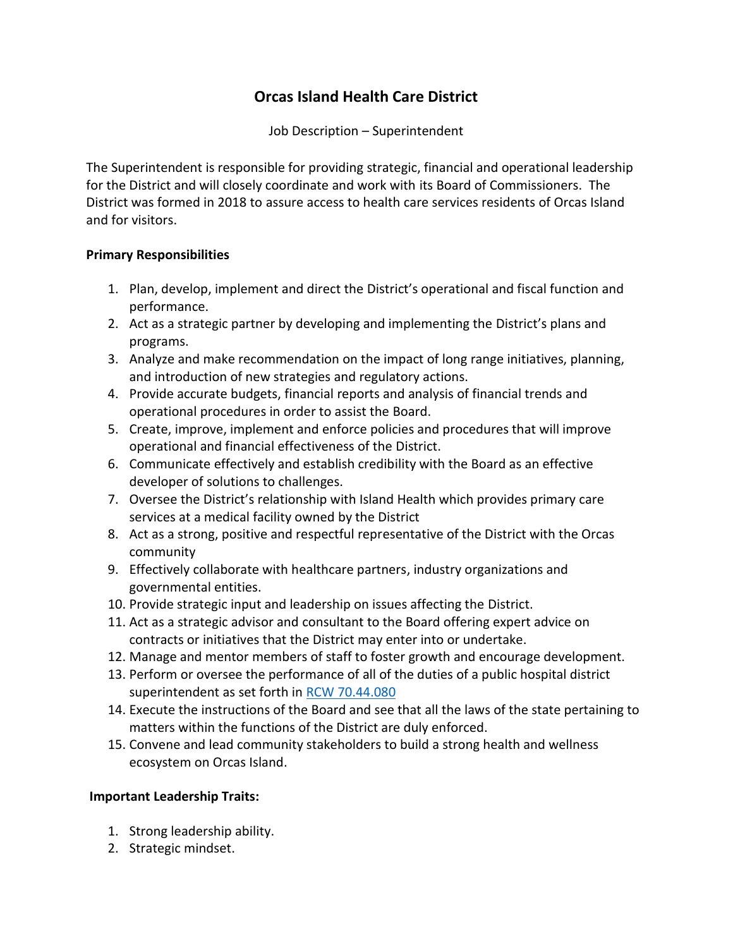## **Orcas Island Health Care District**

Job Description – Superintendent

The Superintendent is responsible for providing strategic, financial and operational leadership for the District and will closely coordinate and work with its Board of Commissioners. The District was formed in 2018 to assure access to health care services residents of Orcas Island and for visitors.

## **Primary Responsibilities**

- 1. Plan, develop, implement and direct the District's operational and fiscal function and performance.
- 2. Act as a strategic partner by developing and implementing the District's plans and programs.
- 3. Analyze and make recommendation on the impact of long range initiatives, planning, and introduction of new strategies and regulatory actions.
- 4. Provide accurate budgets, financial reports and analysis of financial trends and operational procedures in order to assist the Board.
- 5. Create, improve, implement and enforce policies and procedures that will improve operational and financial effectiveness of the District.
- 6. Communicate effectively and establish credibility with the Board as an effective developer of solutions to challenges.
- 7. Oversee the District's relationship with Island Health which provides primary care services at a medical facility owned by the District
- 8. Act as a strong, positive and respectful representative of the District with the Orcas community
- 9. Effectively collaborate with healthcare partners, industry organizations and governmental entities.
- 10. Provide strategic input and leadership on issues affecting the District.
- 11. Act as a strategic advisor and consultant to the Board offering expert advice on contracts or initiatives that the District may enter into or undertake.
- 12. Manage and mentor members of staff to foster growth and encourage development.
- 13. Perform or oversee the performance of all of the duties of a public hospital district superintendent as set forth in [RCW 70.44.080](https://app.leg.wa.gov/rcw/default.aspx?cite=70.44.080)
- 14. Execute the instructions of the Board and see that all the laws of the state pertaining to matters within the functions of the District are duly enforced.
- 15. Convene and lead community stakeholders to build a strong health and wellness ecosystem on Orcas Island.

## **Important Leadership Traits:**

- 1. Strong leadership ability.
- 2. Strategic mindset.